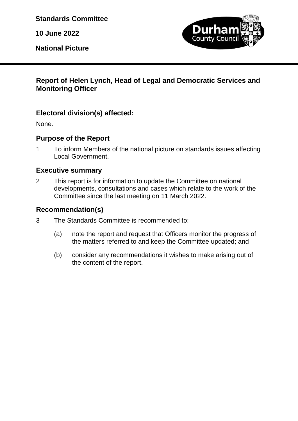**Standards Committee**

**10 June 2022**

**National Picture**



### **Report of Helen Lynch, Head of Legal and Democratic Services and Monitoring Officer**

# **Electoral division(s) affected:**

None.

### **Purpose of the Report**

1 To inform Members of the national picture on standards issues affecting Local Government.

### **Executive summary**

2 This report is for information to update the Committee on national developments, consultations and cases which relate to the work of the Committee since the last meeting on 11 March 2022.

### **Recommendation(s)**

- 3 The Standards Committee is recommended to:
	- (a) note the report and request that Officers monitor the progress of the matters referred to and keep the Committee updated; and
	- (b) consider any recommendations it wishes to make arising out of the content of the report.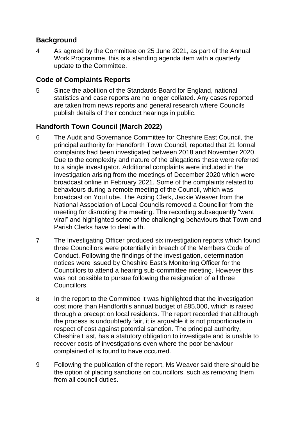### **Background**

4 As agreed by the Committee on 25 June 2021, as part of the Annual Work Programme, this is a standing agenda item with a quarterly update to the Committee.

# **Code of Complaints Reports**

5 Since the abolition of the Standards Board for England, national statistics and case reports are no longer collated. Any cases reported are taken from news reports and general research where Councils publish details of their conduct hearings in public.

# **Handforth Town Council (March 2022)**

- 6 The Audit and Governance Committee for Cheshire East Council, the principal authority for Handforth Town Council, reported that 21 formal complaints had been investigated between 2018 and November 2020. Due to the complexity and nature of the allegations these were referred to a single investigator. Additional complaints were included in the investigation arising from the meetings of December 2020 which were broadcast online in February 2021. Some of the complaints related to behaviours during a remote meeting of the Council, which was broadcast on YouTube. The Acting Clerk, Jackie Weaver from the National Association of Local Councils removed a Councillor from the meeting for disrupting the meeting. The recording subsequently "went viral" and highlighted some of the challenging behaviours that Town and Parish Clerks have to deal with.
- 7 The Investigating Officer produced six investigation reports which found three Councillors were potentially in breach of the Members Code of Conduct. Following the findings of the investigation, determination notices were issued by Cheshire East's Monitoring Officer for the Councillors to attend a hearing sub-committee meeting. However this was not possible to pursue following the resignation of all three Councillors.
- 8 In the report to the Committee it was highlighted that the investigation cost more than Handforth's annual budget of £85,000, which is raised through a precept on local residents. The report recorded that although the process is undoubtedly fair, it is arguable it is not proportionate in respect of cost against potential sanction. The principal authority, Cheshire East, has a statutory obligation to investigate and is unable to recover costs of investigations even where the poor behaviour complained of is found to have occurred.
- 9 Following the publication of the report, Ms Weaver said there should be the option of placing sanctions on councillors, such as removing them from all council duties.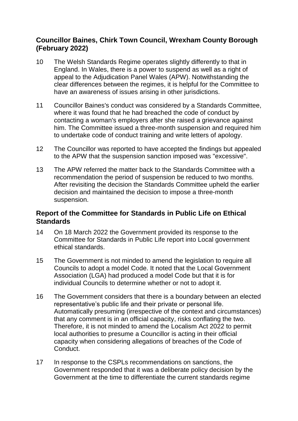### **Councillor Baines, Chirk Town Council, Wrexham County Borough (February 2022)**

- 10 The Welsh Standards Regime operates slightly differently to that in England. In Wales, there is a power to suspend as well as a right of appeal to the Adjudication Panel Wales (APW). Notwithstanding the clear differences between the regimes, it is helpful for the Committee to have an awareness of issues arising in other jurisdictions.
- 11 Councillor Baines's conduct was considered by a Standards Committee, where it was found that he had breached the code of conduct by contacting a woman's employers after she raised a grievance against him. The Committee issued a three-month suspension and required him to undertake code of conduct training and write letters of apology.
- 12 The Councillor was reported to have accepted the findings but appealed to the APW that the suspension sanction imposed was "excessive".
- 13 The APW referred the matter back to the Standards Committee with a recommendation the period of suspension be reduced to two months. After revisiting the decision the Standards Committee upheld the earlier decision and maintained the decision to impose a three-month suspension.

### **Report of the Committee for Standards in Public Life on Ethical Standards**

- 14 On 18 March 2022 the Government provided its response to the Committee for Standards in Public Life report into Local government ethical standards.
- 15 The Government is not minded to amend the legislation to require all Councils to adopt a model Code. It noted that the Local Government Association (LGA) had produced a model Code but that it is for individual Councils to determine whether or not to adopt it.
- 16 The Government considers that there is a boundary between an elected representative's public life and their private or personal life. Automatically presuming (irrespective of the context and circumstances) that any comment is in an official capacity, risks conflating the two. Therefore, it is not minded to amend the Localism Act 2022 to permit local authorities to presume a Councillor is acting in their official capacity when considering allegations of breaches of the Code of Conduct.
- 17 In response to the CSPLs recommendations on sanctions, the Government responded that it was a deliberate policy decision by the Government at the time to differentiate the current standards regime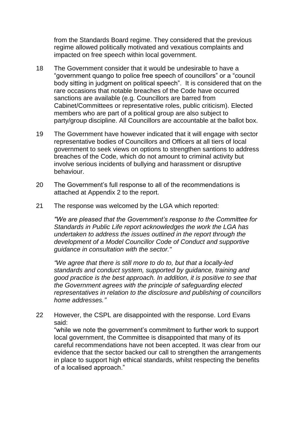from the Standards Board regime. They considered that the previous regime allowed politically motivated and vexatious complaints and impacted on free speech within local government.

- 18 The Government consider that it would be undesirable to have a "government quango to police free speech of councillors" or a "council body sitting in judgment on political speech". It is considered that on the rare occasions that notable breaches of the Code have occurred sanctions are available (e.g. Councillors are barred from Cabinet/Committees or representative roles, public criticism). Elected members who are part of a political group are also subject to party/group discipline. All Councillors are accountable at the ballot box.
- 19 The Government have however indicated that it will engage with sector representative bodies of Councillors and Officers at all tiers of local government to seek views on options to strengthen santions to address breaches of the Code, which do not amount to criminal activity but involve serious incidents of bullying and harassment or disruptive behaviour.
- 20 The Government's full response to all of the recommendations is attached at Appendix 2 to the report.
- 21 The response was welcomed by the LGA which reported:

*"We are pleased that the Government's response to the Committee for Standards in Public Life report acknowledges the work the LGA has undertaken to address the issues outlined in the report through the development of a Model Councillor Code of Conduct and supportive guidance in consultation with the sector."*

*"We agree that there is still more to do to, but that a locally-led standards and conduct system, supported by guidance, training and good practice is the best approach. In addition, it is positive to see that the Government agrees with the principle of safeguarding elected representatives in relation to the disclosure and publishing of councillors home addresses."*

22 However, the CSPL are disappointed with the response. Lord Evans said:

"while we note the government's commitment to further work to support local government, the Committee is disappointed that many of its careful recommendations have not been accepted. It was clear from our evidence that the sector backed our call to strengthen the arrangements in place to support high ethical standards, whilst respecting the benefits of a localised approach."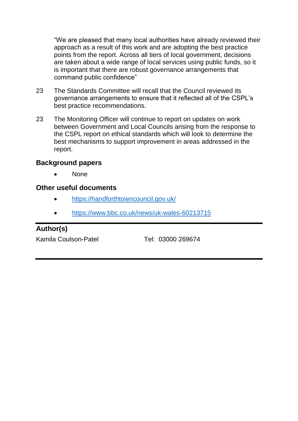"We are pleased that many local authorities have already reviewed their approach as a result of this work and are adopting the best practice points from the report. Across all tiers of local government, decisions are taken about a wide range of local services using public funds, so it is important that there are robust governance arrangements that command public confidence"

- 23 The Standards Committee will recall that the Council reviewed its governance arrangements to ensure that it reflected all of the CSPL's best practice recommendations.
- 23 The Monitoring Officer will continue to report on updates on work between Government and Local Councils arising from the response to the CSPL report on ethical standards which will look to determine the best mechanisms to support improvement in areas addressed in the report.

### **Background papers**

• None

#### **Other useful documents**

- <https://handforthtowncouncil.gov.uk/>
- <https://www.bbc.co.uk/news/uk-wales-60213715>

### **Author(s)**

Kamila Coulson-Patel Tel: 03000 269674